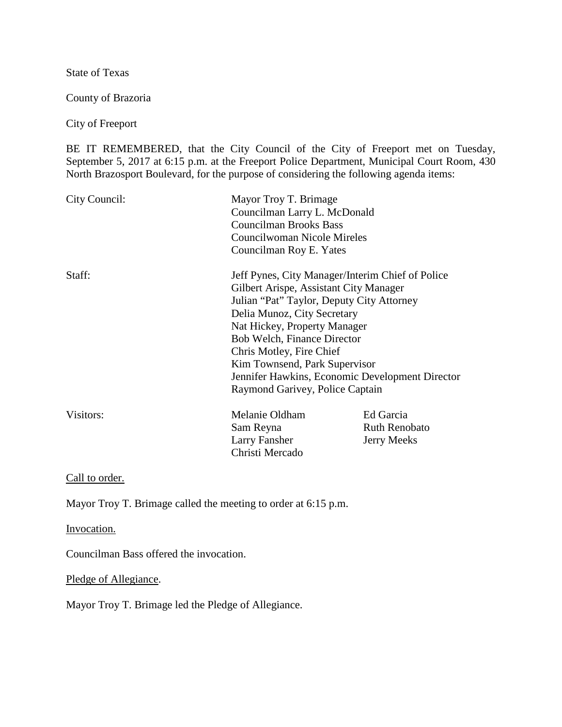State of Texas

County of Brazoria

City of Freeport

BE IT REMEMBERED, that the City Council of the City of Freeport met on Tuesday, September 5, 2017 at 6:15 p.m. at the Freeport Police Department, Municipal Court Room, 430 North Brazosport Boulevard, for the purpose of considering the following agenda items:

| City Council: | Mayor Troy T. Brimage<br>Councilman Larry L. McDonald<br><b>Councilman Brooks Bass</b><br>Councilwoman Nicole Mireles<br>Councilman Roy E. Yates |                      |
|---------------|--------------------------------------------------------------------------------------------------------------------------------------------------|----------------------|
| Staff:        | Jeff Pynes, City Manager/Interim Chief of Police<br>Gilbert Arispe, Assistant City Manager                                                       |                      |
|               | Julian "Pat" Taylor, Deputy City Attorney                                                                                                        |                      |
|               | Delia Munoz, City Secretary                                                                                                                      |                      |
|               | Nat Hickey, Property Manager                                                                                                                     |                      |
|               | Bob Welch, Finance Director                                                                                                                      |                      |
|               | Chris Motley, Fire Chief                                                                                                                         |                      |
|               | Kim Townsend, Park Supervisor                                                                                                                    |                      |
|               | Jennifer Hawkins, Economic Development Director                                                                                                  |                      |
|               | Raymond Garivey, Police Captain                                                                                                                  |                      |
| Visitors:     | Melanie Oldham                                                                                                                                   | Ed Garcia            |
|               | Sam Reyna                                                                                                                                        | <b>Ruth Renobato</b> |
|               | Larry Fansher                                                                                                                                    | <b>Jerry Meeks</b>   |
|               | Christi Mercado                                                                                                                                  |                      |

Call to order.

Mayor Troy T. Brimage called the meeting to order at 6:15 p.m.

Invocation.

Councilman Bass offered the invocation.

Pledge of Allegiance.

Mayor Troy T. Brimage led the Pledge of Allegiance.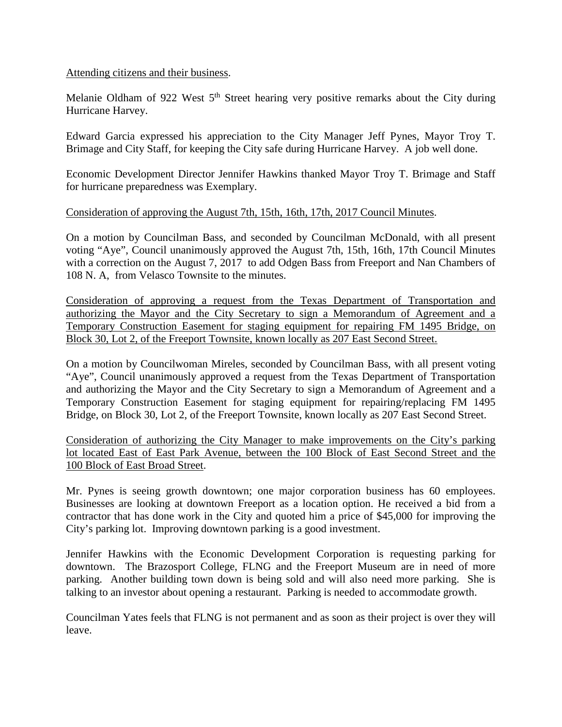### Attending citizens and their business.

Melanie Oldham of 922 West  $5<sup>th</sup>$  Street hearing very positive remarks about the City during Hurricane Harvey.

Edward Garcia expressed his appreciation to the City Manager Jeff Pynes, Mayor Troy T. Brimage and City Staff, for keeping the City safe during Hurricane Harvey. A job well done.

Economic Development Director Jennifer Hawkins thanked Mayor Troy T. Brimage and Staff for hurricane preparedness was Exemplary.

### Consideration of approving the August 7th, 15th, 16th, 17th, 2017 Council Minutes.

On a motion by Councilman Bass, and seconded by Councilman McDonald, with all present voting "Aye", Council unanimously approved the August 7th, 15th, 16th, 17th Council Minutes with a correction on the August 7, 2017 to add Odgen Bass from Freeport and Nan Chambers of 108 N. A, from Velasco Townsite to the minutes.

Consideration of approving a request from the Texas Department of Transportation and authorizing the Mayor and the City Secretary to sign a Memorandum of Agreement and a Temporary Construction Easement for staging equipment for repairing FM 1495 Bridge, on Block 30, Lot 2, of the Freeport Townsite, known locally as 207 East Second Street.

On a motion by Councilwoman Mireles, seconded by Councilman Bass, with all present voting "Aye", Council unanimously approved a request from the Texas Department of Transportation and authorizing the Mayor and the City Secretary to sign a Memorandum of Agreement and a Temporary Construction Easement for staging equipment for repairing/replacing FM 1495 Bridge, on Block 30, Lot 2, of the Freeport Townsite, known locally as 207 East Second Street.

Consideration of authorizing the City Manager to make improvements on the City's parking lot located East of East Park Avenue, between the 100 Block of East Second Street and the 100 Block of East Broad Street.

Mr. Pynes is seeing growth downtown; one major corporation business has 60 employees. Businesses are looking at downtown Freeport as a location option. He received a bid from a contractor that has done work in the City and quoted him a price of \$45,000 for improving the City's parking lot. Improving downtown parking is a good investment.

Jennifer Hawkins with the Economic Development Corporation is requesting parking for downtown. The Brazosport College, FLNG and the Freeport Museum are in need of more parking. Another building town down is being sold and will also need more parking. She is talking to an investor about opening a restaurant. Parking is needed to accommodate growth.

Councilman Yates feels that FLNG is not permanent and as soon as their project is over they will leave.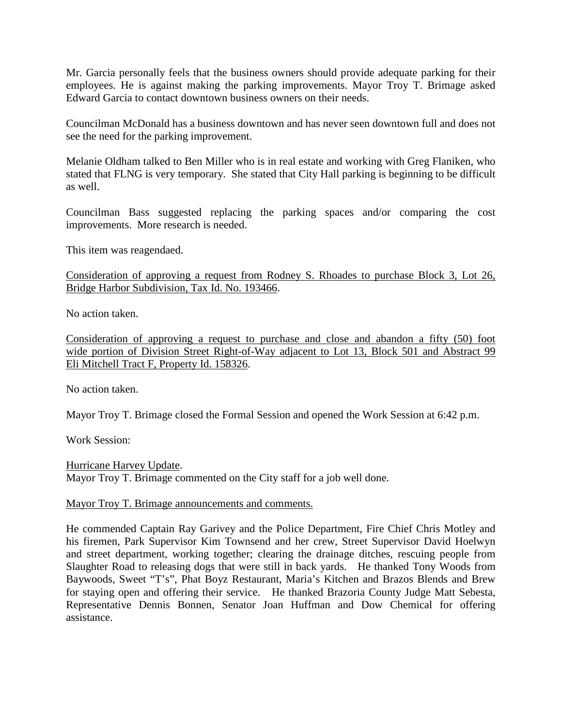Mr. Garcia personally feels that the business owners should provide adequate parking for their employees. He is against making the parking improvements. Mayor Troy T. Brimage asked Edward Garcia to contact downtown business owners on their needs.

Councilman McDonald has a business downtown and has never seen downtown full and does not see the need for the parking improvement.

Melanie Oldham talked to Ben Miller who is in real estate and working with Greg Flaniken, who stated that FLNG is very temporary. She stated that City Hall parking is beginning to be difficult as well.

Councilman Bass suggested replacing the parking spaces and/or comparing the cost improvements. More research is needed.

This item was reagendaed.

Consideration of approving a request from Rodney S. Rhoades to purchase Block 3, Lot 26, Bridge Harbor Subdivision, Tax Id. No. 193466.

No action taken.

Consideration of approving a request to purchase and close and abandon a fifty (50) foot wide portion of Division Street Right-of-Way adjacent to Lot 13, Block 501 and Abstract 99 Eli Mitchell Tract F, Property Id. 158326.

No action taken.

Mayor Troy T. Brimage closed the Formal Session and opened the Work Session at 6:42 p.m.

Work Session:

Hurricane Harvey Update. Mayor Troy T. Brimage commented on the City staff for a job well done.

Mayor Troy T. Brimage announcements and comments.

He commended Captain Ray Garivey and the Police Department, Fire Chief Chris Motley and his firemen, Park Supervisor Kim Townsend and her crew, Street Supervisor David Hoelwyn and street department, working together; clearing the drainage ditches, rescuing people from Slaughter Road to releasing dogs that were still in back yards. He thanked Tony Woods from Baywoods, Sweet "T's", Phat Boyz Restaurant, Maria's Kitchen and Brazos Blends and Brew for staying open and offering their service. He thanked Brazoria County Judge Matt Sebesta, Representative Dennis Bonnen, Senator Joan Huffman and Dow Chemical for offering assistance.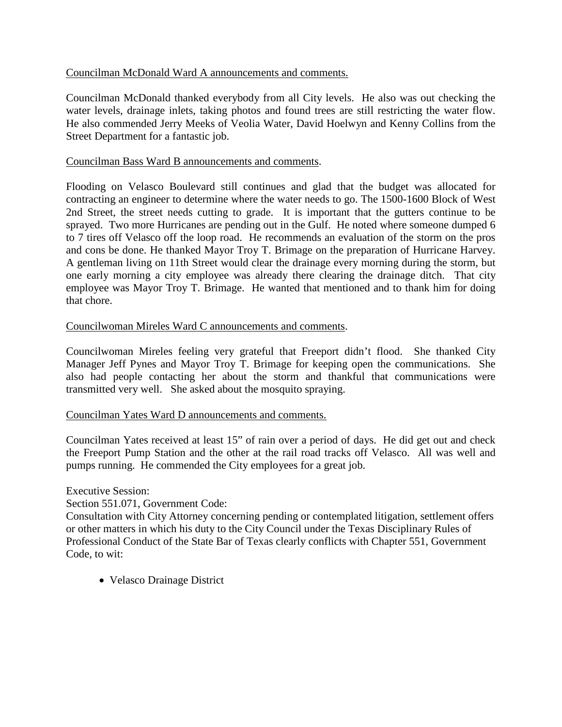# Councilman McDonald Ward A announcements and comments.

Councilman McDonald thanked everybody from all City levels. He also was out checking the water levels, drainage inlets, taking photos and found trees are still restricting the water flow. He also commended Jerry Meeks of Veolia Water, David Hoelwyn and Kenny Collins from the Street Department for a fantastic job.

### Councilman Bass Ward B announcements and comments.

Flooding on Velasco Boulevard still continues and glad that the budget was allocated for contracting an engineer to determine where the water needs to go. The 1500-1600 Block of West 2nd Street, the street needs cutting to grade. It is important that the gutters continue to be sprayed. Two more Hurricanes are pending out in the Gulf. He noted where someone dumped 6 to 7 tires off Velasco off the loop road. He recommends an evaluation of the storm on the pros and cons be done. He thanked Mayor Troy T. Brimage on the preparation of Hurricane Harvey. A gentleman living on 11th Street would clear the drainage every morning during the storm, but one early morning a city employee was already there clearing the drainage ditch. That city employee was Mayor Troy T. Brimage. He wanted that mentioned and to thank him for doing that chore.

# Councilwoman Mireles Ward C announcements and comments.

Councilwoman Mireles feeling very grateful that Freeport didn't flood. She thanked City Manager Jeff Pynes and Mayor Troy T. Brimage for keeping open the communications. She also had people contacting her about the storm and thankful that communications were transmitted very well. She asked about the mosquito spraying.

### Councilman Yates Ward D announcements and comments.

Councilman Yates received at least 15" of rain over a period of days. He did get out and check the Freeport Pump Station and the other at the rail road tracks off Velasco. All was well and pumps running. He commended the City employees for a great job.

### Executive Session:

Section 551.071, Government Code:

Consultation with City Attorney concerning pending or contemplated litigation, settlement offers or other matters in which his duty to the City Council under the Texas Disciplinary Rules of Professional Conduct of the State Bar of Texas clearly conflicts with Chapter 551, Government Code, to wit:

• Velasco Drainage District